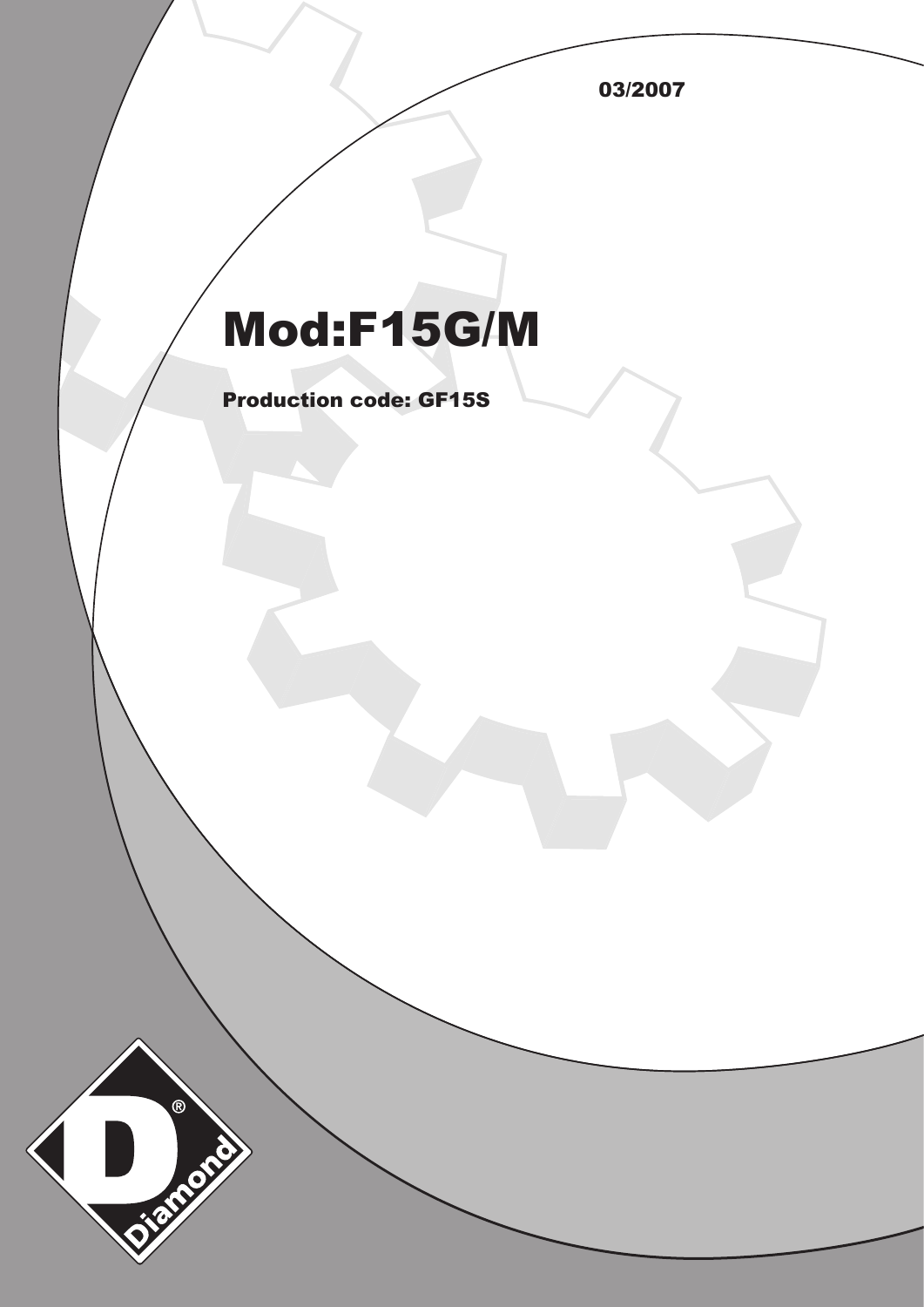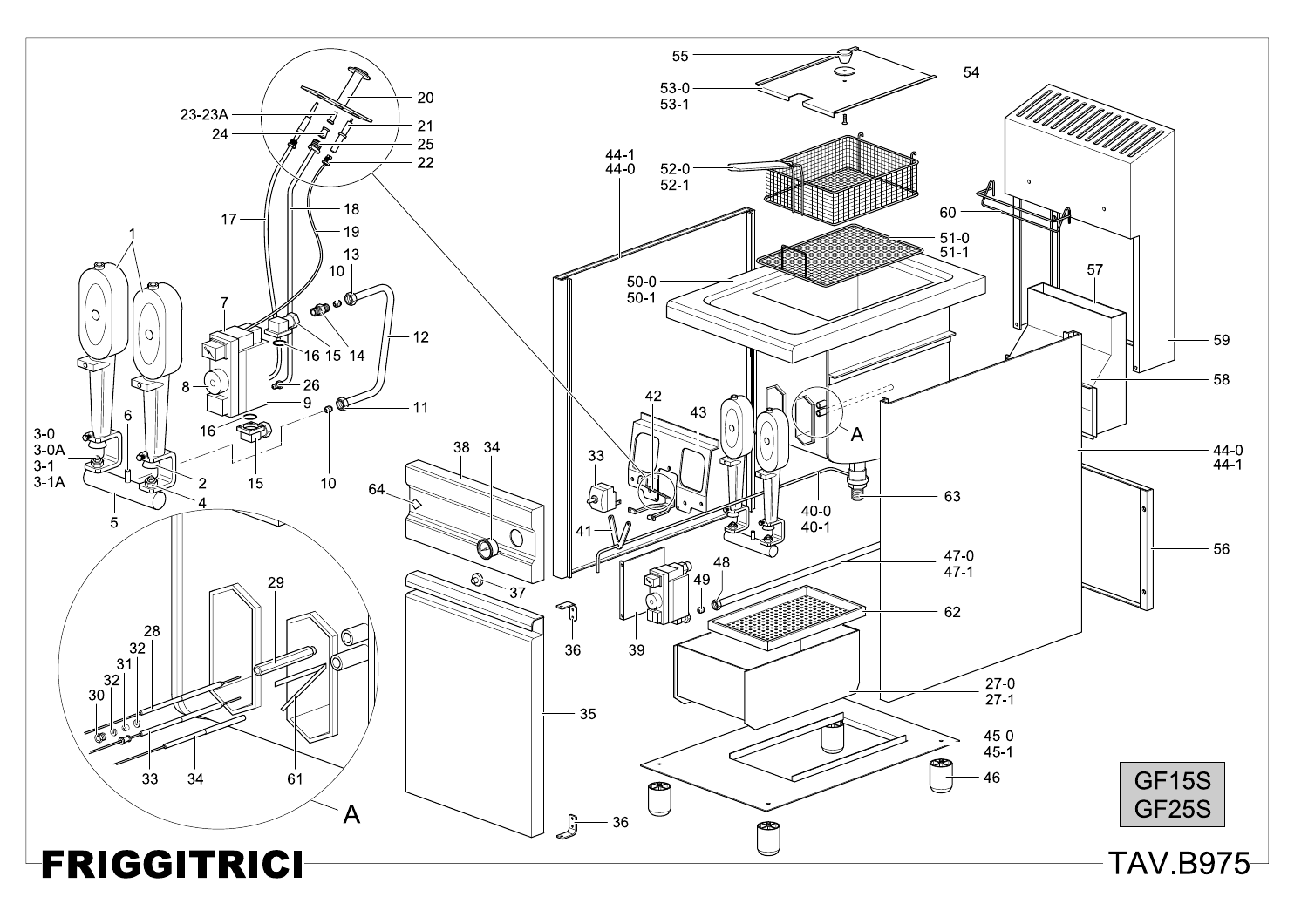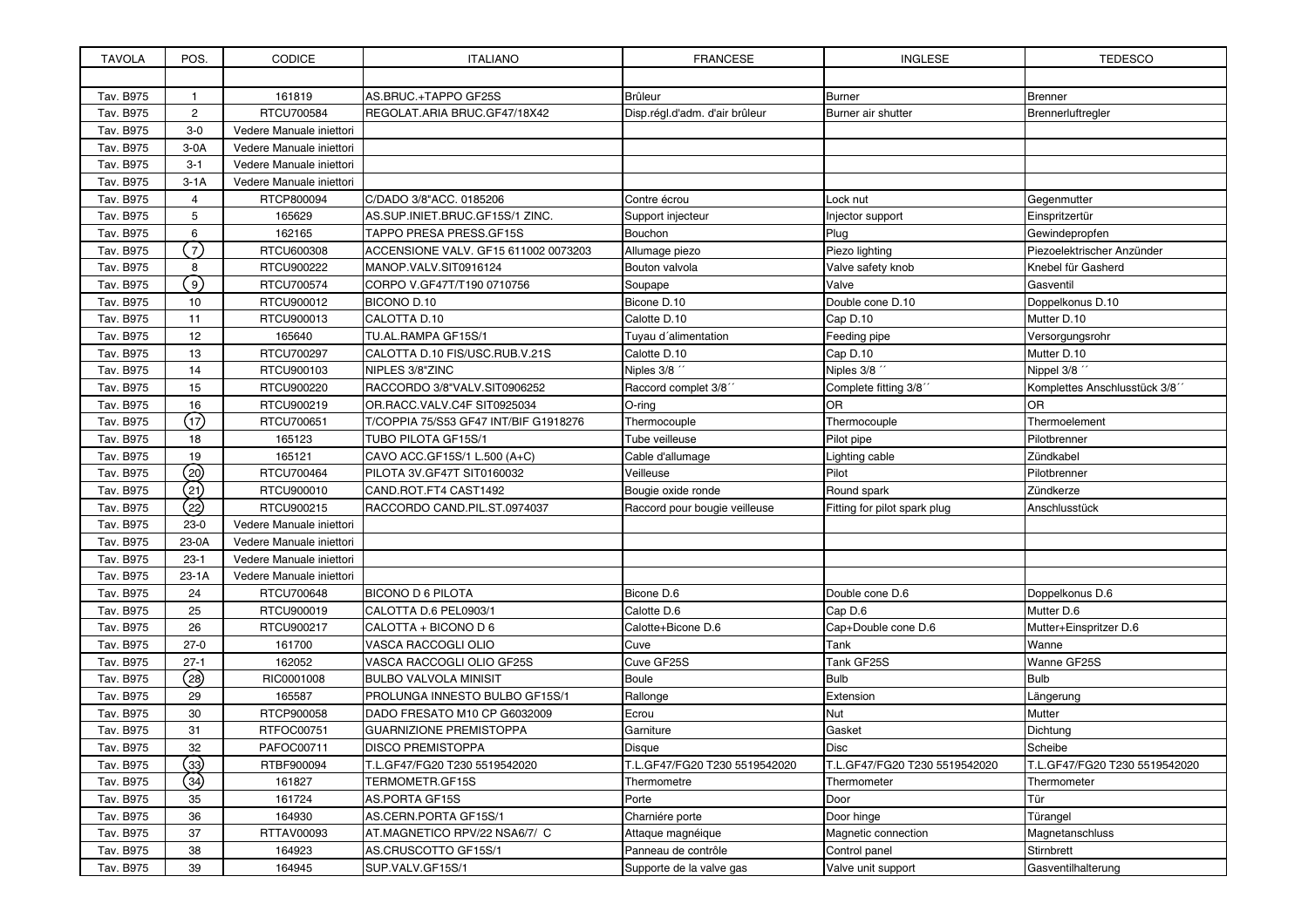| <b>TAVOLA</b> | POS.           | <b>CODICE</b>            | <b>ITALIANO</b>                       | <b>FRANCESE</b>                | <b>INGLESE</b>                | <b>TEDESCO</b>                |
|---------------|----------------|--------------------------|---------------------------------------|--------------------------------|-------------------------------|-------------------------------|
|               |                |                          |                                       |                                |                               |                               |
| Tav. B975     | $\mathbf{1}$   | 161819                   | AS.BRUC.+TAPPO GF25S                  | <b>Brûleur</b>                 | <b>Burner</b>                 | <b>Brenner</b>                |
| Tav. B975     | $\overline{2}$ | RTCU700584               | REGOLAT.ARIA BRUC.GF47/18X42          | Disp.régl.d'adm. d'air brûleur | Burner air shutter            | Brennerluftregler             |
| Tav. B975     | $3-0$          | Vedere Manuale iniettori |                                       |                                |                               |                               |
| Tav. B975     | $3-0A$         | Vedere Manuale iniettori |                                       |                                |                               |                               |
| Tav. B975     | $3 - 1$        | Vedere Manuale iniettori |                                       |                                |                               |                               |
| Tav. B975     | $3-1A$         | Vedere Manuale iniettori |                                       |                                |                               |                               |
| Tav. B975     | $\overline{4}$ | RTCP800094               | C/DADO 3/8"ACC. 0185206               | Contre écrou                   | Lock nut                      | Gegenmutter                   |
| Tav. B975     | 5              | 165629                   | AS.SUP.INIET.BRUC.GF15S/1 ZINC.       | Support injecteur              | Injector support              | Einspritzertür                |
| Tav. B975     | 6              | 162165                   | TAPPO PRESA PRESS.GF15S               | Bouchon                        | Plug                          | Gewindepropfen                |
| Tav. B975     | $\overline{7}$ | RTCU600308               | ACCENSIONE VALV. GF15 611002 0073203  | Allumage piezo                 | Piezo lighting                | Piezoelektrischer Anzünder    |
| Tav. B975     | 8              | RTCU900222               | MANOP.VALV.SIT0916124                 | Bouton valvola                 | Valve safety knob             | Knebel für Gasherd            |
| Tav. B975     | 9 <sup>2</sup> | RTCU700574               | CORPO V.GF47T/T190 0710756            | Soupape                        | Valve                         | Gasventil                     |
| Tav. B975     | 10             | RTCU900012               | BICONO D.10                           | Bicone D.10                    | Double cone D.10              | Doppelkonus D.10              |
| Tav. B975     | 11             | RTCU900013               | CALOTTA D.10                          | Calotte D.10                   | Cap D.10                      | Mutter D.10                   |
| Tav. B975     | 12             | 165640                   | TU.AL.RAMPA GF15S/1                   | Tuyau d'alimentation           | Feeding pipe                  | Versorgungsrohr               |
| Tav. B975     | 13             | RTCU700297               | CALOTTA D.10 FIS/USC.RUB.V.21S        | Calotte D.10                   | Cap D.10                      | Mutter D.10                   |
| Tav. B975     | 14             | RTCU900103               | NIPLES 3/8"ZINC                       | Niples 3/8 "                   | Niples 3/8 "                  | Nippel 3/8 "                  |
| Tav. B975     | 15             | RTCU900220               | RACCORDO 3/8"VALV.SIT0906252          | Raccord complet 3/8"           | Complete fitting 3/8"         | Komplettes Anschlusstück 3/8" |
| Tav. B975     | 16             | RTCU900219               | OR.RACC.VALV.C4F SIT0925034           | $O$ -ring                      | OR                            | 0R                            |
| Tav. B975     | (17)           | RTCU700651               | T/COPPIA 75/S53 GF47 INT/BIF G1918276 | Thermocouple                   | Thermocouple                  | Thermoelement                 |
| Tav. B975     | 18             | 165123                   | TUBO PILOTA GF15S/1                   | Tube veilleuse                 | Pilot pipe                    | Pilotbrenner                  |
| Tav. B975     | 19             | 165121                   | CAVO ACC.GF15S/1 L.500 (A+C)          | Cable d'allumage               | Lighting cable                | Zündkabel                     |
| Tav. B975     | (20)           | RTCU700464               | PILOTA 3V.GF47T SIT0160032            | Veilleuse                      | Pilot                         | Pilotbrenner                  |
| Tav. B975     | (21)           | RTCU900010               | CAND.ROT.FT4 CAST1492                 | Bougie oxide ronde             | Round spark                   | Zündkerze                     |
| Tav. B975     | (22)           | RTCU900215               | RACCORDO CAND.PIL.ST.0974037          | Raccord pour bougie veilleuse  | Fitting for pilot spark plug  | Anschlusstück                 |
| Tav. B975     | $23-0$         | Vedere Manuale iniettori |                                       |                                |                               |                               |
| Tav. B975     | 23-0A          | Vedere Manuale iniettori |                                       |                                |                               |                               |
| Tav. B975     | $23-1$         | Vedere Manuale iniettori |                                       |                                |                               |                               |
| Tav. B975     | $23-1A$        | Vedere Manuale iniettori |                                       |                                |                               |                               |
| Tav. B975     | 24             | RTCU700648               | <b>BICONO D 6 PILOTA</b>              | Bicone D.6                     | Double cone D.6               | Doppelkonus D.6               |
| Tav. B975     | 25             | RTCU900019               | CALOTTA D.6 PEL0903/1                 | Calotte D.6                    | Cap D.6                       | Mutter D.6                    |
| Tav. B975     | 26             | RTCU900217               | CALOTTA + BICONO D 6                  | Calotte+Bicone D.6             | Cap+Double cone D.6           | Mutter+Einspritzer D.6        |
| Tav. B975     | $27-0$         | 161700                   | VASCA RACCOGLI OLIO                   | Cuve                           | Tank                          | Wanne                         |
| Tav. B975     | $27-1$         | 162052                   | VASCA RACCOGLI OLIO GF25S             | Cuve GF25S                     | Tank GF25S                    | Wanne GF25S                   |
| Tav. B975     | (28)           | RIC0001008               | <b>BULBO VALVOLA MINISIT</b>          | Boule                          | <b>Bulb</b>                   | <b>Bulb</b>                   |
| Tav. B975     | 29             | 165587                   | PROLUNGA INNESTO BULBO GF15S/1        | Rallonge                       | Extension                     | Längerung                     |
| Tav. B975     | 30             | RTCP900058               | DADO FRESATO M10 CP G6032009          | Ecrou                          | Nut                           | Mutter                        |
| Tav. B975     | 31             | RTFOC00751               | <b>GUARNIZIONE PREMISTOPPA</b>        | Garniture                      | Gasket                        | Dichtung                      |
| Tav. B975     | 32             | PAFOC00711               | DISCO PREMISTOPPA                     | Disque                         | Disc                          | Scheibe                       |
| Tav. B975     | $\binom{33}{}$ | RTBF900094               | T.L.GF47/FG20 T230 5519542020         | T.L.GF47/FG20 T230 5519542020  | T.L.GF47/FG20 T230 5519542020 | T.L.GF47/FG20 T230 5519542020 |
| Tav. B975     | (34)           | 161827                   | TERMOMETR.GF15S                       | Thermometre                    | Thermometer                   | Thermometer                   |
| Tav. B975     | 35             | 161724                   | AS.PORTA GF15S                        | Porte                          | Door                          | Tür                           |
| Tav. B975     | 36             | 164930                   | AS.CERN.PORTA GF15S/1                 | Charniére porte                | Door hinge                    | Türangel                      |
| Tav. B975     | 37             | RTTAV00093               | AT.MAGNETICO RPV/22 NSA6/7/ C         | Attaque magnéique              | Magnetic connection           | Magnetanschluss               |
| Tav. B975     | 38             | 164923                   | AS.CRUSCOTTO GF15S/1                  | Panneau de contrôle            | Control panel                 | Stirnbrett                    |
| Tav. B975     | 39             | 164945                   | SUP.VALV.GF15S/1                      | Supporte de la valve gas       | Valve unit support            | Gasventilhalterung            |